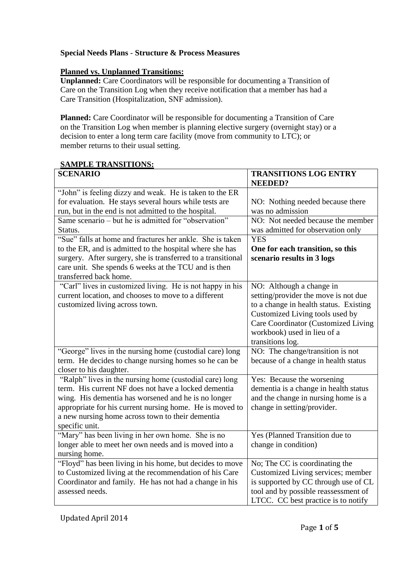# **Special Needs Plans** - **Structure & Process Measures**

#### **Planned vs. Unplanned Transitions:**

**Unplanned:** Care Coordinators will be responsible for documenting a Transition of Care on the Transition Log when they receive notification that a member has had a Care Transition (Hospitalization, SNF admission).

**Planned:** Care Coordinator will be responsible for documenting a Transition of Care on the Transition Log when member is planning elective surgery (overnight stay) or a decision to enter a long term care facility (move from community to LTC); or member returns to their usual setting.

#### **SAMPLE TRANSITIONS:**

| <b>SCENARIO</b>                                              | <b>TRANSITIONS LOG ENTRY</b><br><b>NEEDED?</b> |
|--------------------------------------------------------------|------------------------------------------------|
| "John" is feeling dizzy and weak. He is taken to the ER      |                                                |
| for evaluation. He stays several hours while tests are       | NO: Nothing needed because there               |
| run, but in the end is not admitted to the hospital.         | was no admission                               |
| Same scenario – but he is admitted for "observation"         | NO: Not needed because the member              |
| Status.                                                      | was admitted for observation only              |
| "Sue" falls at home and fractures her ankle. She is taken    | <b>YES</b>                                     |
| to the ER, and is admitted to the hospital where she has     | One for each transition, so this               |
| surgery. After surgery, she is transferred to a transitional | scenario results in 3 logs                     |
| care unit. She spends 6 weeks at the TCU and is then         |                                                |
| transferred back home.                                       |                                                |
| "Carl" lives in customized living. He is not happy in his    | NO: Although a change in                       |
| current location, and chooses to move to a different         | setting/provider the move is not due           |
| customized living across town.                               | to a change in health status. Existing         |
|                                                              | Customized Living tools used by                |
|                                                              | Care Coordinator (Customized Living            |
|                                                              | workbook) used in lieu of a                    |
|                                                              | transitions log.                               |
| "George" lives in the nursing home (custodial care) long     | NO: The change/transition is not               |
| term. He decides to change nursing homes so he can be        | because of a change in health status           |
| closer to his daughter.                                      |                                                |
| "Ralph" lives in the nursing home (custodial care) long      | Yes: Because the worsening                     |
| term. His current NF does not have a locked dementia         | dementia is a change in health status          |
| wing. His dementia has worsened and he is no longer          | and the change in nursing home is a            |
| appropriate for his current nursing home. He is moved to     | change in setting/provider.                    |
| a new nursing home across town to their dementia             |                                                |
| specific unit.                                               |                                                |
| "Mary" has been living in her own home. She is no            | Yes (Planned Transition due to                 |
| longer able to meet her own needs and is moved into a        | change in condition)                           |
| nursing home.                                                |                                                |
| "Floyd" has been living in his home, but decides to move     | No; The CC is coordinating the                 |
| to Customized living at the recommendation of his Care       | Customized Living services; member             |
| Coordinator and family. He has not had a change in his       | is supported by CC through use of CL           |
| assessed needs.                                              | tool and by possible reassessment of           |
|                                                              | LTCC. CC best practice is to notify            |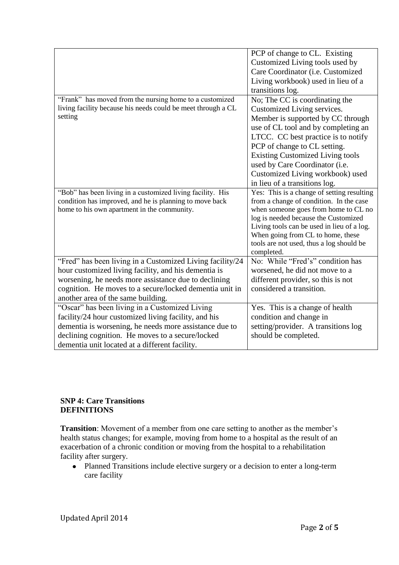|                                                              | PCP of change to CL. Existing                                  |
|--------------------------------------------------------------|----------------------------------------------------------------|
|                                                              | Customized Living tools used by                                |
|                                                              | Care Coordinator (i.e. Customized                              |
|                                                              | Living workbook) used in lieu of a                             |
|                                                              | transitions log.                                               |
| "Frank" has moved from the nursing home to a customized      | No; The CC is coordinating the                                 |
| living facility because his needs could be meet through a CL | Customized Living services.                                    |
| setting                                                      | Member is supported by CC through                              |
|                                                              | use of CL tool and by completing an                            |
|                                                              | LTCC. CC best practice is to notify                            |
|                                                              | PCP of change to CL setting.                                   |
|                                                              | <b>Existing Customized Living tools</b>                        |
|                                                              | used by Care Coordinator (i.e.                                 |
|                                                              | Customized Living workbook) used                               |
|                                                              | in lieu of a transitions log.                                  |
| "Bob" has been living in a customized living facility. His   | Yes: This is a change of setting resulting                     |
| condition has improved, and he is planning to move back      | from a change of condition. In the case                        |
| home to his own apartment in the community.                  | when someone goes from home to CL no                           |
|                                                              | log is needed because the Customized                           |
|                                                              | Living tools can be used in lieu of a log.                     |
|                                                              | When going from CL to home, these                              |
|                                                              | tools are not used, thus a log should be                       |
| "Fred" has been living in a Customized Living facility/24    | completed.<br>No: While "Fred's" condition has                 |
| hour customized living facility, and his dementia is         | worsened, he did not move to a                                 |
| worsening, he needs more assistance due to declining         |                                                                |
|                                                              | different provider, so this is not<br>considered a transition. |
| cognition. He moves to a secure/locked dementia unit in      |                                                                |
| another area of the same building.                           |                                                                |
| "Oscar" has been living in a Customized Living               | Yes. This is a change of health                                |
| facility/24 hour customized living facility, and his         | condition and change in                                        |
| dementia is worsening, he needs more assistance due to       | setting/provider. A transitions log                            |
| declining cognition. He moves to a secure/locked             | should be completed.                                           |
| dementia unit located at a different facility.               |                                                                |

## **SNP 4: Care Transitions DEFINITIONS**

**Transition**: Movement of a member from one care setting to another as the member's health status changes; for example, moving from home to a hospital as the result of an exacerbation of a chronic condition or moving from the hospital to a rehabilitation facility after surgery.

Planned Transitions include elective surgery or a decision to enter a long-term care facility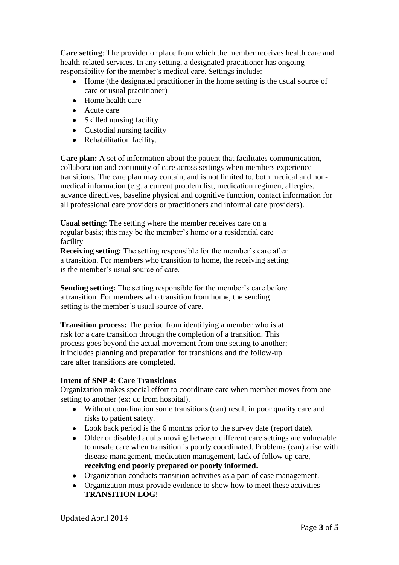**Care setting**: The provider or place from which the member receives health care and health-related services. In any setting, a designated practitioner has ongoing responsibility for the member's medical care. Settings include:

- Home (the designated practitioner in the home setting is the usual source of care or usual practitioner)
- Home health care
- Acute care
- Skilled nursing facility
- Custodial nursing facility
- Rehabilitation facility.

**Care plan:** A set of information about the patient that facilitates communication, collaboration and continuity of care across settings when members experience transitions. The care plan may contain, and is not limited to, both medical and nonmedical information (e.g. a current problem list, medication regimen, allergies, advance directives, baseline physical and cognitive function, contact information for all professional care providers or practitioners and informal care providers).

**Usual setting**: The setting where the member receives care on a regular basis; this may be the member's home or a residential care facility

**Receiving setting:** The setting responsible for the member's care after a transition. For members who transition to home, the receiving setting is the member's usual source of care.

**Sending setting:** The setting responsible for the member's care before a transition. For members who transition from home, the sending setting is the member's usual source of care.

**Transition process:** The period from identifying a member who is at risk for a care transition through the completion of a transition. This process goes beyond the actual movement from one setting to another; it includes planning and preparation for transitions and the follow-up care after transitions are completed.

# **Intent of SNP 4: Care Transitions**

Organization makes special effort to coordinate care when member moves from one setting to another (ex: dc from hospital).

- Without coordination some transitions (can) result in poor quality care and risks to patient safety.
- Look back period is the 6 months prior to the survey date (report date).
- $\bullet$ Older or disabled adults moving between different care settings are vulnerable to unsafe care when transition is poorly coordinated. Problems (can) arise with disease management, medication management, lack of follow up care, **receiving end poorly prepared or poorly informed.**
- Organization conducts transition activities as a part of case management.
- Organization must provide evidence to show how to meet these activities **TRANSITION LOG**!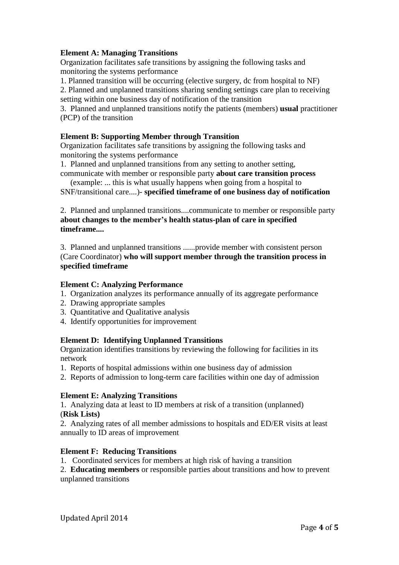## **Element A: Managing Transitions**

Organization facilitates safe transitions by assigning the following tasks and monitoring the systems performance

1. Planned transition will be occurring (elective surgery, dc from hospital to NF)

2. Planned and unplanned transitions sharing sending settings care plan to receiving setting within one business day of notification of the transition

3. Planned and unplanned transitions notify the patients (members) **usual** practitioner (PCP) of the transition

## **Element B: Supporting Member through Transition**

Organization facilitates safe transitions by assigning the following tasks and monitoring the systems performance

1. Planned and unplanned transitions from any setting to another setting,

communicate with member or responsible party **about care transition process**

 (example: ... this is what usually happens when going from a hospital to SNF/transitional care....)- **specified timeframe of one business day of notification** 

2. Planned and unplanned transitions....communicate to member or responsible party **about changes to the member's health status-plan of care in specified timeframe....**

3. Planned and unplanned transitions ......provide member with consistent person (Care Coordinator) **who will support member through the transition process in specified timeframe**

#### **Element C: Analyzing Performance**

- 1. Organization analyzes its performance annually of its aggregate performance
- 2. Drawing appropriate samples
- 3. Quantitative and Qualitative analysis
- 4. Identify opportunities for improvement

# **Element D: Identifying Unplanned Transitions**

Organization identifies transitions by reviewing the following for facilities in its network

- 1. Reports of hospital admissions within one business day of admission
- 2. Reports of admission to long-term care facilities within one day of admission

# **Element E: Analyzing Transitions**

1. Analyzing data at least to ID members at risk of a transition (unplanned) (**Risk Lists)**

2. Analyzing rates of all member admissions to hospitals and ED/ER visits at least annually to ID areas of improvement

# **Element F: Reducing Transitions**

1. Coordinated services for members at high risk of having a transition

2. **Educating members** or responsible parties about transitions and how to prevent unplanned transitions